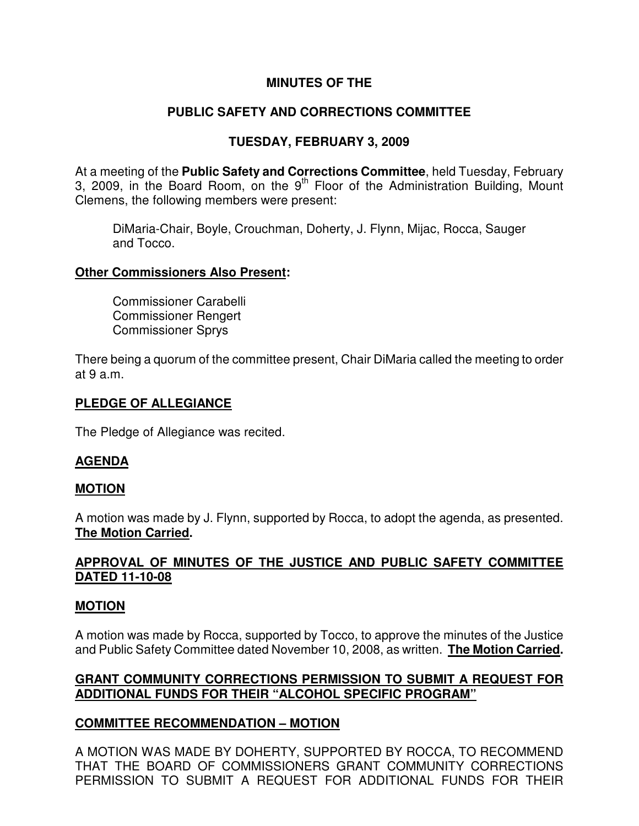## **MINUTES OF THE**

# **PUBLIC SAFETY AND CORRECTIONS COMMITTEE**

## **TUESDAY, FEBRUARY 3, 2009**

At a meeting of the **Public Safety and Corrections Committee**, held Tuesday, February 3, 2009, in the Board Room, on the  $9<sup>th</sup>$  Floor of the Administration Building, Mount Clemens, the following members were present:

DiMaria-Chair, Boyle, Crouchman, Doherty, J. Flynn, Mijac, Rocca, Sauger and Tocco.

#### **Other Commissioners Also Present:**

Commissioner Carabelli Commissioner Rengert Commissioner Sprys

There being a quorum of the committee present, Chair DiMaria called the meeting to order at 9 a.m.

### **PLEDGE OF ALLEGIANCE**

The Pledge of Allegiance was recited.

### **AGENDA**

### **MOTION**

A motion was made by J. Flynn, supported by Rocca, to adopt the agenda, as presented. **The Motion Carried.** 

## **APPROVAL OF MINUTES OF THE JUSTICE AND PUBLIC SAFETY COMMITTEE DATED 11-10-08**

### **MOTION**

A motion was made by Rocca, supported by Tocco, to approve the minutes of the Justice and Public Safety Committee dated November 10, 2008, as written. **The Motion Carried.** 

### **GRANT COMMUNITY CORRECTIONS PERMISSION TO SUBMIT A REQUEST FOR ADDITIONAL FUNDS FOR THEIR "ALCOHOL SPECIFIC PROGRAM"**

### **COMMITTEE RECOMMENDATION – MOTION**

A MOTION WAS MADE BY DOHERTY, SUPPORTED BY ROCCA, TO RECOMMEND THAT THE BOARD OF COMMISSIONERS GRANT COMMUNITY CORRECTIONS PERMISSION TO SUBMIT A REQUEST FOR ADDITIONAL FUNDS FOR THEIR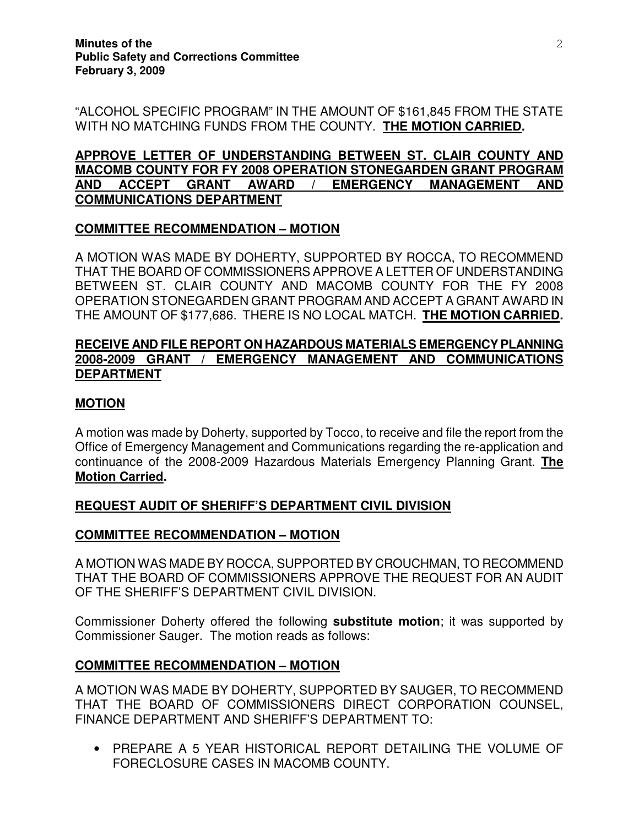"ALCOHOL SPECIFIC PROGRAM" IN THE AMOUNT OF \$161,845 FROM THE STATE WITH NO MATCHING FUNDS FROM THE COUNTY. **THE MOTION CARRIED.** 

## **APPROVE LETTER OF UNDERSTANDING BETWEEN ST. CLAIR COUNTY AND MACOMB COUNTY FOR FY 2008 OPERATION STONEGARDEN GRANT PROGRAM AND ACCEPT GRANT AWARD / EMERGENCY MANAGEMENT AND COMMUNICATIONS DEPARTMENT**

## **COMMITTEE RECOMMENDATION – MOTION**

A MOTION WAS MADE BY DOHERTY, SUPPORTED BY ROCCA, TO RECOMMEND THAT THE BOARD OF COMMISSIONERS APPROVE A LETTER OF UNDERSTANDING BETWEEN ST. CLAIR COUNTY AND MACOMB COUNTY FOR THE FY 2008 OPERATION STONEGARDEN GRANT PROGRAM AND ACCEPT A GRANT AWARD IN THE AMOUNT OF \$177,686. THERE IS NO LOCAL MATCH. **THE MOTION CARRIED.** 

#### **RECEIVE AND FILE REPORT ON HAZARDOUS MATERIALS EMERGENCY PLANNING 2008-2009 GRANT / EMERGENCY MANAGEMENT AND COMMUNICATIONS DEPARTMENT**

## **MOTION**

A motion was made by Doherty, supported by Tocco, to receive and file the report from the Office of Emergency Management and Communications regarding the re-application and continuance of the 2008-2009 Hazardous Materials Emergency Planning Grant. **The Motion Carried.** 

### **REQUEST AUDIT OF SHERIFF'S DEPARTMENT CIVIL DIVISION**

### **COMMITTEE RECOMMENDATION – MOTION**

A MOTION WAS MADE BY ROCCA, SUPPORTED BY CROUCHMAN, TO RECOMMEND THAT THE BOARD OF COMMISSIONERS APPROVE THE REQUEST FOR AN AUDIT OF THE SHERIFF'S DEPARTMENT CIVIL DIVISION.

Commissioner Doherty offered the following **substitute motion**; it was supported by Commissioner Sauger. The motion reads as follows:

### **COMMITTEE RECOMMENDATION – MOTION**

A MOTION WAS MADE BY DOHERTY, SUPPORTED BY SAUGER, TO RECOMMEND THAT THE BOARD OF COMMISSIONERS DIRECT CORPORATION COUNSEL, FINANCE DEPARTMENT AND SHERIFF'S DEPARTMENT TO:

• PREPARE A 5 YEAR HISTORICAL REPORT DETAILING THE VOLUME OF FORECLOSURE CASES IN MACOMB COUNTY.